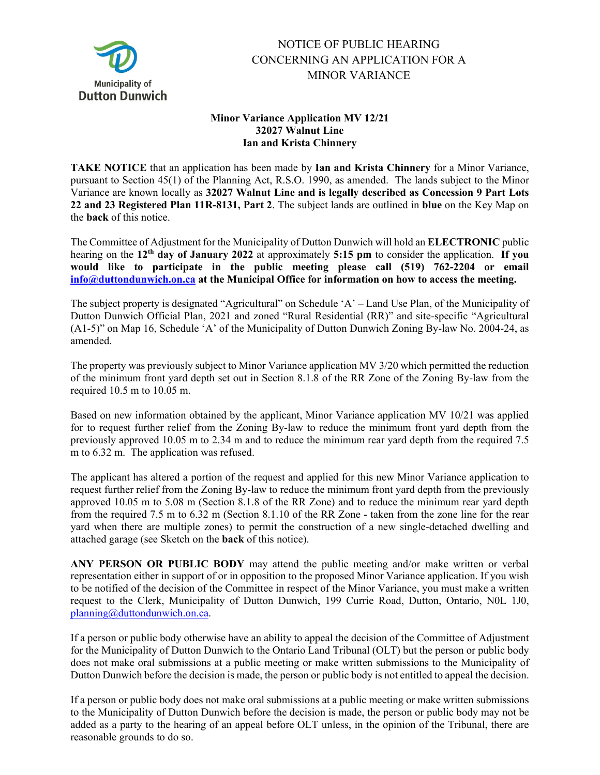

## NOTICE OF PUBLIC HEARING CONCERNING AN APPLICATION FOR A MINOR VARIANCE

## **Minor Variance Application MV 12/21 32027 Walnut Line Ian and Krista Chinnery**

**TAKE NOTICE** that an application has been made by **Ian and Krista Chinnery** for a Minor Variance, pursuant to Section 45(1) of the Planning Act, R.S.O. 1990, as amended. The lands subject to the Minor Variance are known locally as **32027 Walnut Line and is legally described as Concession 9 Part Lots 22 and 23 Registered Plan 11R-8131, Part 2**. The subject lands are outlined in **blue** on the Key Map on the **back** of this notice.

The Committee of Adjustment for the Municipality of Dutton Dunwich will hold an **ELECTRONIC** public hearing on the **12th day of January 2022** at approximately **5:15 pm** to consider the application. **If you would like to participate in the public meeting please call (519) 762-2204 or email [info@duttondunwich.on.ca](mailto:info@duttondunwich.on.ca) at the Municipal Office for information on how to access the meeting.**

The subject property is designated "Agricultural" on Schedule 'A' – Land Use Plan, of the Municipality of Dutton Dunwich Official Plan, 2021 and zoned "Rural Residential (RR)" and site-specific "Agricultural (A1-5)" on Map 16, Schedule 'A' of the Municipality of Dutton Dunwich Zoning By-law No. 2004-24, as amended.

The property was previously subject to Minor Variance application MV 3/20 which permitted the reduction of the minimum front yard depth set out in Section 8.1.8 of the RR Zone of the Zoning By-law from the required 10.5 m to 10.05 m.

Based on new information obtained by the applicant, Minor Variance application MV 10/21 was applied for to request further relief from the Zoning By-law to reduce the minimum front yard depth from the previously approved 10.05 m to 2.34 m and to reduce the minimum rear yard depth from the required 7.5 m to 6.32 m. The application was refused.

The applicant has altered a portion of the request and applied for this new Minor Variance application to request further relief from the Zoning By-law to reduce the minimum front yard depth from the previously approved 10.05 m to 5.08 m (Section 8.1.8 of the RR Zone) and to reduce the minimum rear yard depth from the required 7.5 m to 6.32 m (Section 8.1.10 of the RR Zone - taken from the zone line for the rear yard when there are multiple zones) to permit the construction of a new single-detached dwelling and attached garage (see Sketch on the **back** of this notice).

**ANY PERSON OR PUBLIC BODY** may attend the public meeting and/or make written or verbal representation either in support of or in opposition to the proposed Minor Variance application. If you wish to be notified of the decision of the Committee in respect of the Minor Variance, you must make a written request to the Clerk, Municipality of Dutton Dunwich, 199 Currie Road, Dutton, Ontario, N0L 1J0, [planning@duttondunwich.on.ca.](mailto:planning@duttondunwich.on.ca)

If a person or public body otherwise have an ability to appeal the decision of the Committee of Adjustment for the Municipality of Dutton Dunwich to the Ontario Land Tribunal (OLT) but the person or public body does not make oral submissions at a public meeting or make written submissions to the Municipality of Dutton Dunwich before the decision is made, the person or public body is not entitled to appeal the decision.

If a person or public body does not make oral submissions at a public meeting or make written submissions to the Municipality of Dutton Dunwich before the decision is made, the person or public body may not be added as a party to the hearing of an appeal before OLT unless, in the opinion of the Tribunal, there are reasonable grounds to do so.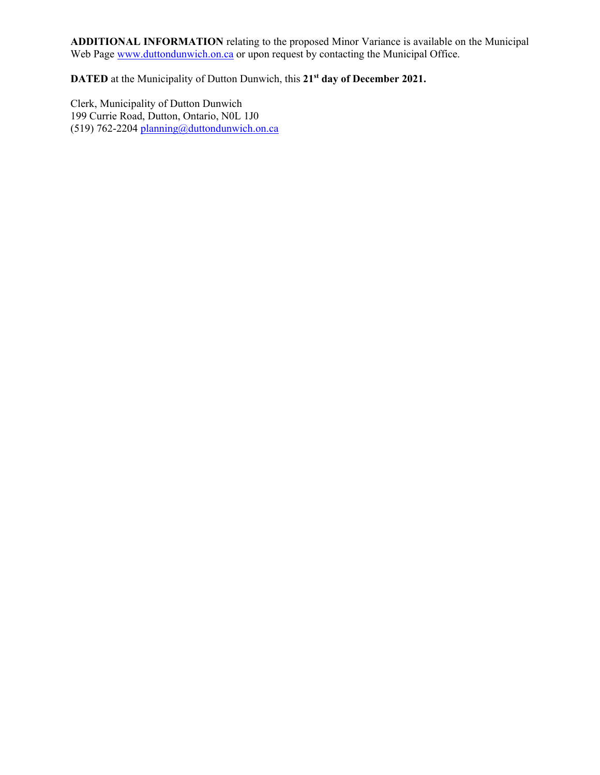**ADDITIONAL INFORMATION** relating to the proposed Minor Variance is available on the Municipal Web Page [www.duttondunwich.on.ca](http://www.duttondunwich.on.ca/) or upon request by contacting the Municipal Office.

**DATED** at the Municipality of Dutton Dunwich, this **21st day of December 2021.**

Clerk, Municipality of Dutton Dunwich 199 Currie Road, Dutton, Ontario, N0L 1J0 (519) 762-2204 [planning@duttondunwich.on.ca](mailto:planning@duttondunwich.on.ca)